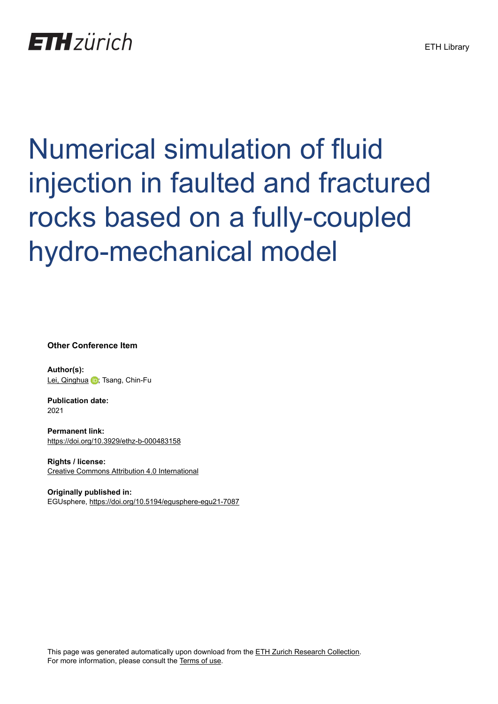## Numerical simulation of fluid injection in faulted and fractured rocks based on a fully-coupled hydro-mechanical model

**Other Conference Item**

**Author(s):** [Lei, Qinghua](https://orcid.org/0000-0002-3990-4707) **D**; Tsang, Chin-Fu

**Publication date:** 2021

**Permanent link:** <https://doi.org/10.3929/ethz-b-000483158>

**Rights / license:** [Creative Commons Attribution 4.0 International](http://creativecommons.org/licenses/by/4.0/)

**Originally published in:** EGUsphere, <https://doi.org/10.5194/egusphere-egu21-7087>